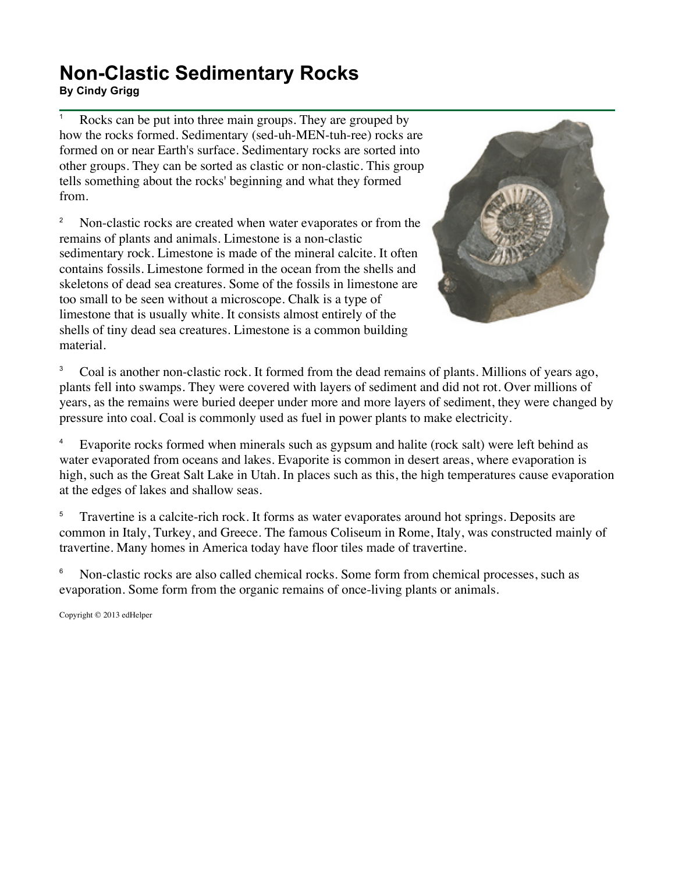## **Non-Clastic Sedimentary Rocks**

## **By Cindy Grigg**

Rocks can be put into three main groups. They are grouped by how the rocks formed. Sedimentary (sed-uh-MEN-tuh-ree) rocks are formed on or near Earth's surface. Sedimentary rocks are sorted into other groups. They can be sorted as clastic or non-clastic. This group tells something about the rocks' beginning and what they formed from.

<sup>2</sup> Non-clastic rocks are created when water evaporates or from the remains of plants and animals. Limestone is a non-clastic sedimentary rock. Limestone is made of the mineral calcite. It often contains fossils. Limestone formed in the ocean from the shells and skeletons of dead sea creatures. Some of the fossils in limestone are too small to be seen without a microscope. Chalk is a type of limestone that is usually white. It consists almost entirely of the shells of tiny dead sea creatures. Limestone is a common building material.



<sup>3</sup> Coal is another non-clastic rock. It formed from the dead remains of plants. Millions of years ago, plants fell into swamps. They were covered with layers of sediment and did not rot. Over millions of years, as the remains were buried deeper under more and more layers of sediment, they were changed by pressure into coal. Coal is commonly used as fuel in power plants to make electricity.

<sup>4</sup> Evaporite rocks formed when minerals such as gypsum and halite (rock salt) were left behind as water evaporated from oceans and lakes. Evaporite is common in desert areas, where evaporation is high, such as the Great Salt Lake in Utah. In places such as this, the high temperatures cause evaporation at the edges of lakes and shallow seas.

<sup>5</sup> Travertine is a calcite-rich rock. It forms as water evaporates around hot springs. Deposits are common in Italy, Turkey, and Greece. The famous Coliseum in Rome, Italy, was constructed mainly of travertine. Many homes in America today have floor tiles made of travertine.

<sup>6</sup> Non-clastic rocks are also called chemical rocks. Some form from chemical processes, such as evaporation. Some form from the organic remains of once-living plants or animals.

Copyright © 2013 edHelper